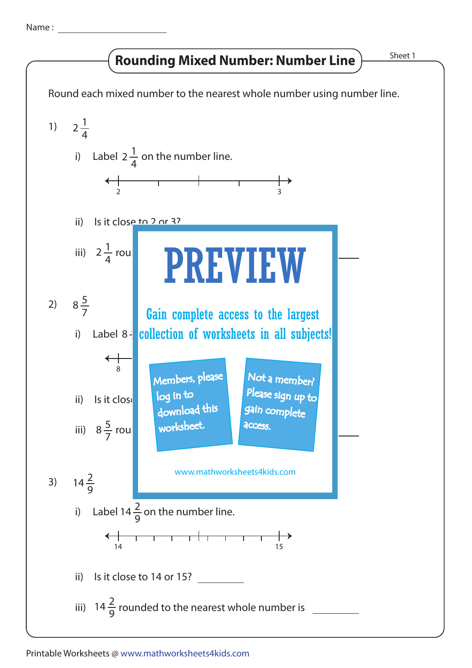Name :

## **Rounding Mixed Number: Number Line**

Sheet 1